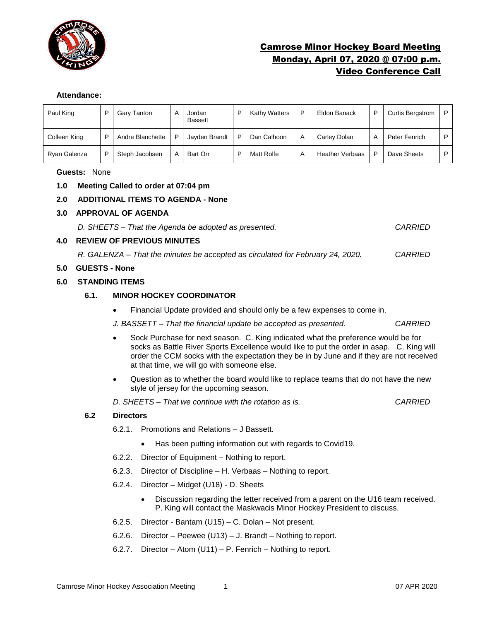

# Camrose Minor Hockey Board Meeting Monday, April 07, 2020 @ 07:00 p.m. Video Conference Call

#### **Attendance:**

| Paul King    |   | Gary Tanton      | А | Jordan<br><b>Bassett</b> | D | Kathy Watters | D | Eldon Banack           | D              | <b>Curtis Bergstrom</b> | P |
|--------------|---|------------------|---|--------------------------|---|---------------|---|------------------------|----------------|-------------------------|---|
| Colleen King | ▫ | Andre Blanchette | P | Jayden Brandt            | D | Dan Calhoon   | A | Carley Dolan           | $\overline{A}$ | Peter Fenrich           | P |
| Ryan Galenza |   | Steph Jacobsen   | A | Bart Orr                 | D | Matt Rolfe    | A | <b>Heather Verbaas</b> | P              | Dave Sheets             | D |

## **Guests:** None

- **1.0 Meeting Called to order at 07:04 pm**
- **2.0 ADDITIONAL ITEMS TO AGENDA - None**

## **3.0 APPROVAL OF AGENDA**

*D. SHEETS – That the Agenda be adopted as presented. CARRIED*

## **4.0 REVIEW OF PREVIOUS MINUTES**

*R. GALENZA – That the minutes be accepted as circulated for February 24, 2020. CARRIED*

#### **5.0 GUESTS - None**

## **6.0 STANDING ITEMS**

# **6.1. MINOR HOCKEY COORDINATOR**

• Financial Update provided and should only be a few expenses to come in.

*J. BASSETT – That the financial update be accepted as presented. CARRIED*

- Sock Purchase for next season. C. King indicated what the preference would be for socks as Battle River Sports Excellence would like to put the order in asap. C. King will order the CCM socks with the expectation they be in by June and if they are not received at that time, we will go with someone else.
- Question as to whether the board would like to replace teams that do not have the new style of jersey for the upcoming season.

*D. SHEETS – That we continue with the rotation as is. CARRIED*

#### **6.2 Directors**

- 6.2.1. Promotions and Relations J Bassett.
	- Has been putting information out with regards to Covid19.
- 6.2.2. Director of Equipment Nothing to report.
- 6.2.3. Director of Discipline H. Verbaas Nothing to report.
- 6.2.4. Director Midget (U18) D. Sheets
	- Discussion regarding the letter received from a parent on the U16 team received. P. King will contact the Maskwacis Minor Hockey President to discuss.
- 6.2.5. Director Bantam (U15) C. Dolan Not present.
- 6.2.6. Director Peewee (U13) J. Brandt Nothing to report.
- 6.2.7. Director Atom (U11) P. Fenrich Nothing to report.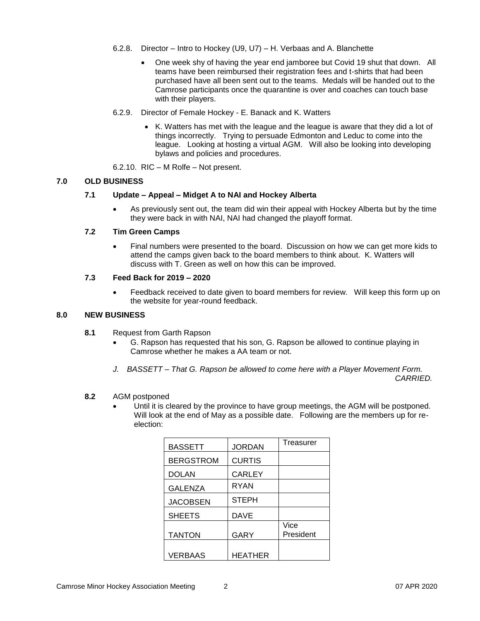- 6.2.8. Director Intro to Hockey (U9, U7) H. Verbaas and A. Blanchette
	- One week shy of having the year end jamboree but Covid 19 shut that down. All teams have been reimbursed their registration fees and t-shirts that had been purchased have all been sent out to the teams. Medals will be handed out to the Camrose participants once the quarantine is over and coaches can touch base with their players.
- 6.2.9. Director of Female Hockey E. Banack and K. Watters
	- K. Watters has met with the league and the league is aware that they did a lot of things incorrectly. Trying to persuade Edmonton and Leduc to come into the league. Looking at hosting a virtual AGM. Will also be looking into developing bylaws and policies and procedures.
- 6.2.10. RIC M Rolfe Not present.

#### **7.0 OLD BUSINESS**

#### **7.1 Update – Appeal – Midget A to NAI and Hockey Alberta**

• As previously sent out, the team did win their appeal with Hockey Alberta but by the time they were back in with NAI, NAI had changed the playoff format.

#### **7.2 Tim Green Camps**

• Final numbers were presented to the board. Discussion on how we can get more kids to attend the camps given back to the board members to think about. K. Watters will discuss with T. Green as well on how this can be improved.

#### **7.3 Feed Back for 2019 – 2020**

Feedback received to date given to board members for review. Will keep this form up on the website for year-round feedback.

#### **8.0 NEW BUSINESS**

- **8.1** Request from Garth Rapson
	- G. Rapson has requested that his son, G. Rapson be allowed to continue playing in Camrose whether he makes a AA team or not.
	- *J. BASSETT – That G. Rapson be allowed to come here with a Player Movement Form.*

*CARRIED.* 

# **8.2** AGM postponed

• Until it is cleared by the province to have group meetings, the AGM will be postponed. Will look at the end of May as a possible date. Following are the members up for reelection:

| BASSETT          | <b>JORDAN</b>  | Treasurer         |
|------------------|----------------|-------------------|
| <b>BERGSTROM</b> | <b>CURTIS</b>  |                   |
| DOLAN            | <b>CARLEY</b>  |                   |
| <b>GALENZA</b>   | <b>RYAN</b>    |                   |
| <b>JACOBSEN</b>  | <b>STEPH</b>   |                   |
| <b>SHEETS</b>    | <b>DAVE</b>    |                   |
| <b>TANTON</b>    | GARY           | Vice<br>President |
| <b>VERBAAS</b>   | <b>HEATHER</b> |                   |